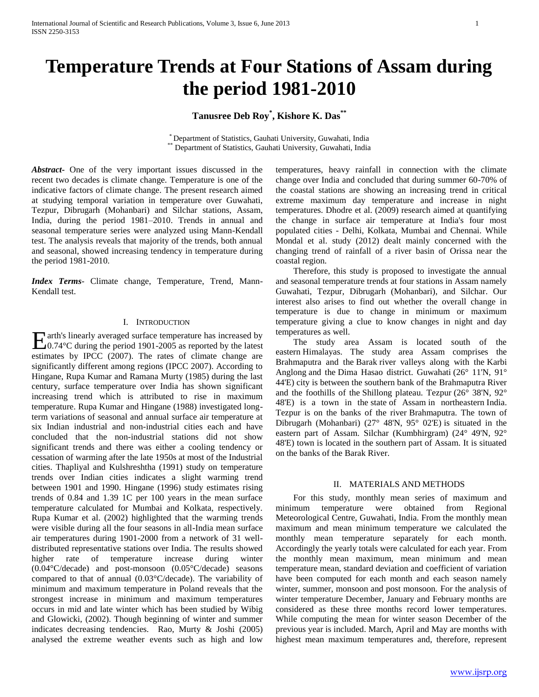# **Temperature Trends at Four Stations of Assam during the period 1981-2010**

# **Tanusree Deb Roy\* , Kishore K. Das\*\***

\* Department of Statistics, Gauhati University, Guwahati, India Department of Statistics, Gauhati University, Guwahati, India

*Abstract***-** One of the very important issues discussed in the recent two decades is climate change. Temperature is one of the indicative factors of climate change. The present research aimed at studying temporal variation in temperature over Guwahati, Tezpur, Dibrugarh (Mohanbari) and Silchar stations, Assam, India, during the period 1981–2010. Trends in annual and seasonal temperature series were analyzed using Mann-Kendall test. The analysis reveals that majority of the trends, both annual and seasonal, showed increasing tendency in temperature during the period 1981-2010.

*Index Terms*- Climate change, Temperature, Trend, Mann-Kendall test.

### I. INTRODUCTION

arth's linearly averaged surface temperature has increased by 0.74°C during the period 1901-2005 as reported by the latest Eestimates by IPCC (2007). The rates of climate change are significantly different among regions (IPCC 2007). According to Hingane, Rupa Kumar and Ramana Murty (1985) during the last century, surface temperature over India has shown significant increasing trend which is attributed to rise in maximum temperature. Rupa Kumar and Hingane (1988) investigated longterm variations of seasonal and annual surface air temperature at six Indian industrial and non-industrial cities each and have concluded that the non-industrial stations did not show significant trends and there was either a cooling tendency or cessation of warming after the late 1950s at most of the Industrial cities. Thapliyal and Kulshreshtha (1991) study on temperature trends over Indian cities indicates a slight warming trend between 1901 and 1990. Hingane (1996) study estimates rising trends of 0.84 and 1.39 1C per 100 years in the mean surface temperature calculated for Mumbai and Kolkata, respectively. Rupa Kumar et al. (2002) highlighted that the warming trends were visible during all the four seasons in all-India mean surface air temperatures during 1901-2000 from a network of 31 welldistributed representative stations over India. The results showed higher rate of temperature increase during winter (0.04°C/decade) and post-monsoon (0.05°C/decade) seasons compared to that of annual (0.03°C/decade). The variability of minimum and maximum temperature in Poland reveals that the strongest increase in minimum and maximum temperatures occurs in mid and late winter which has been studied by Wibig and Glowicki, (2002). Though beginning of winter and summer indicates decreasing tendencies. Rao, Murty & Joshi (2005) analysed the extreme weather events such as high and low

temperatures, heavy rainfall in connection with the climate change over India and concluded that during summer 60-70% of the coastal stations are showing an increasing trend in critical extreme maximum day temperature and increase in night temperatures. Dhodre et al. (2009) research aimed at quantifying the change in surface air temperature at India's four most populated cities - Delhi, Kolkata, Mumbai and Chennai. While Mondal et al. study (2012) dealt mainly concerned with the changing trend of rainfall of a river basin of Orissa near the coastal region.

 Therefore, this study is proposed to investigate the annual and seasonal temperature trends at four stations in Assam namely Guwahati, Tezpur, Dibrugarh (Mohanbari), and Silchar. Our interest also arises to find out whether the overall change in temperature is due to change in minimum or maximum temperature giving a clue to know changes in night and day temperatures as well.

 The study area Assam is located south of the eastern Himalayas. The study area Assam comprises the Brahmaputra and the Barak river valleys along with the Karbi Anglong and the Dima Hasao district. Guwahati (26° 11'N, 91° 44'E) city is between the southern bank of the Brahmaputra River and the foothills of the Shillong plateau. Tezpur (26° 38'N, 92° 48'E) is a town in the state of Assam in northeastern India. Tezpur is on the banks of the river Brahmaputra. The town of Dibrugarh (Mohanbari) (27° 48'N, 95° 02'E) is situated in the eastern part of Assam. Silchar (Kumbhirgram) (24° 49'N, 92° 48'E) town is located in the southern part of Assam. It is situated on the banks of the Barak River.

## II. MATERIALS AND METHODS

 For this study, monthly mean series of maximum and minimum temperature were obtained from Regional Meteorological Centre, Guwahati, India. From the monthly mean maximum and mean minimum temperature we calculated the monthly mean temperature separately for each month. Accordingly the yearly totals were calculated for each year. From the monthly mean maximum, mean minimum and mean temperature mean, standard deviation and coefficient of variation have been computed for each month and each season namely winter, summer, monsoon and post monsoon. For the analysis of winter temperature December, January and February months are considered as these three months record lower temperatures. While computing the mean for winter season December of the previous year is included. March, April and May are months with highest mean maximum temperatures and, therefore, represent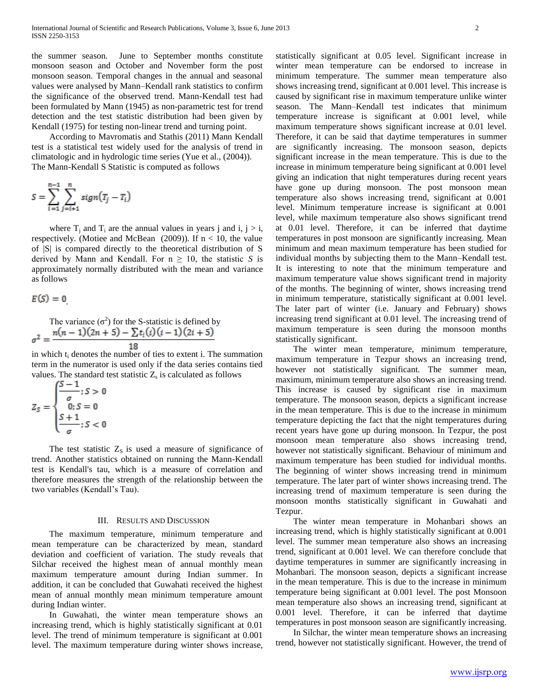the summer season. June to September months constitute monsoon season and October and November form the post monsoon season. Temporal changes in the annual and seasonal values were analysed by Mann–Kendall rank statistics to confirm the significance of the observed trend. Mann-Kendall test had been formulated by Mann (1945) as non-parametric test for trend detection and the test statistic distribution had been given by Kendall (1975) for testing non-linear trend and turning point.

 According to Mavromatis and Stathis (2011) Mann Kendall test is a statistical test widely used for the analysis of trend in climatologic and in hydrologic time series (Yue et al., (2004)). The Mann-Kendall S Statistic is computed as follows

$$
S = \sum_{i=1}^{n-1} \sum_{j=i+1}^{n} sign(T_j - T_i)
$$

where  $T_i$  and  $T_i$  are the annual values in years j and i, j > i, respectively. (Motiee and McBean  $(2009)$ ). If  $n < 10$ , the value of |S| is compared directly to the theoretical distribution of S derived by Mann and Kendall. For  $n \geq 10$ , the statistic *S* is approximately normally distributed with the mean and variance as follows

$$
E(S)=0
$$

The variance 
$$
(\sigma^2)
$$
 for the S-statistic is defined by  

$$
\sigma^2 = \frac{n(n-1)(2n+5) - \sum t_i(i)(i-1)(2i+5)}{18}
$$

in which t<sub>i</sub> denotes the number of ties to extent i. The summation term in the numerator is used only if the data series contains tied values. The standard test statistic  $Z_s$  is calculated as follows

$$
Z_S = \begin{cases} \frac{S-1}{\sigma}; S > 0\\ 0; S = 0\\ \frac{S+1}{\sigma}; S < 0 \end{cases}
$$

The test statistic  $Z_s$  is used a measure of significance of trend. Another statistics obtained on running the Mann-Kendall test is Kendall's tau, which is a measure of correlation and therefore measures the strength of the relationship between the two variables (Kendall's Tau).

#### III. RESULTS AND DISCUSSION

 The maximum temperature, minimum temperature and mean temperature can be characterized by mean, standard deviation and coefficient of variation. The study reveals that Silchar received the highest mean of annual monthly mean maximum temperature amount during Indian summer. In addition, it can be concluded that Guwahati received the highest mean of annual monthly mean minimum temperature amount during Indian winter.

 In Guwahati, the winter mean temperature shows an increasing trend, which is highly statistically significant at 0.01 level. The trend of minimum temperature is significant at 0.001 level. The maximum temperature during winter shows increase, statistically significant at 0.05 level. Significant increase in winter mean temperature can be endorsed to increase in minimum temperature. The summer mean temperature also shows increasing trend, significant at 0.001 level. This increase is caused by significant rise in maximum temperature unlike winter season. The Mann–Kendall test indicates that minimum temperature increase is significant at 0.001 level, while maximum temperature shows significant increase at 0.01 level. Therefore, it can be said that daytime temperatures in summer are significantly increasing. The monsoon season, depicts significant increase in the mean temperature. This is due to the increase in minimum temperature being significant at 0.001 level giving an indication that night temperatures during recent years have gone up during monsoon. The post monsoon mean temperature also shows increasing trend, significant at 0.001 level. Minimum temperature increase is significant at 0.001 level, while maximum temperature also shows significant trend at 0.01 level. Therefore, it can be inferred that daytime temperatures in post monsoon are significantly increasing. Mean minimum and mean maximum temperature has been studied for individual months by subjecting them to the Mann–Kendall test. It is interesting to note that the minimum temperature and maximum temperature value shows significant trend in majority of the months. The beginning of winter, shows increasing trend in minimum temperature, statistically significant at 0.001 level. The later part of winter (i.e. January and February) shows increasing trend significant at 0.01 level. The increasing trend of maximum temperature is seen during the monsoon months statistically significant.

 The winter mean temperature, minimum temperature, maximum temperature in Tezpur shows an increasing trend, however not statistically significant. The summer mean, maximum, minimum temperature also shows an increasing trend. This increase is caused by significant rise in maximum temperature. The monsoon season, depicts a significant increase in the mean temperature. This is due to the increase in minimum temperature depicting the fact that the night temperatures during recent years have gone up during monsoon. In Tezpur, the post monsoon mean temperature also shows increasing trend, however not statistically significant. Behaviour of minimum and maximum temperature has been studied for individual months. The beginning of winter shows increasing trend in minimum temperature. The later part of winter shows increasing trend. The increasing trend of maximum temperature is seen during the monsoon months statistically significant in Guwahati and Tezpur.

 The winter mean temperature in Mohanbari shows an increasing trend, which is highly statistically significant at 0.001 level. The summer mean temperature also shows an increasing trend, significant at 0.001 level. We can therefore conclude that daytime temperatures in summer are significantly increasing in Mohanbari. The monsoon season, depicts a significant increase in the mean temperature. This is due to the increase in minimum temperature being significant at 0.001 level. The post Monsoon mean temperature also shows an increasing trend, significant at 0.001 level. Therefore, it can be inferred that daytime temperatures in post monsoon season are significantly increasing.

 In Silchar, the winter mean temperature shows an increasing trend, however not statistically significant. However, the trend of